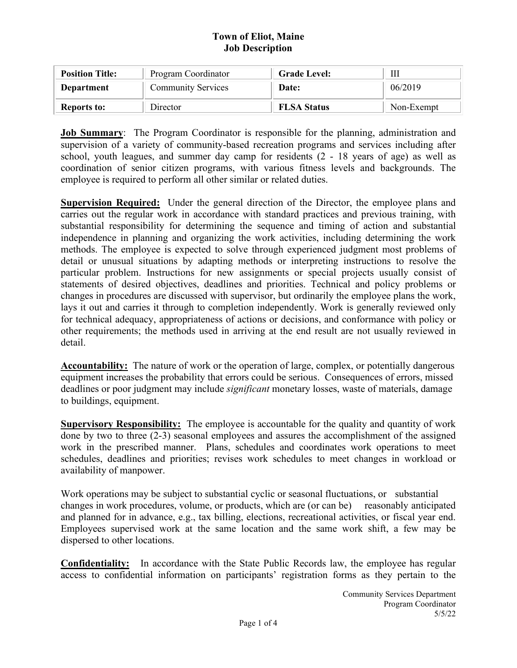| <b>Position Title:</b> | Program Coordinator       | <b>Grade Level:</b> | Ш          |
|------------------------|---------------------------|---------------------|------------|
| Department             | <b>Community Services</b> | Date:               | 06/2019    |
| <b>Reports to:</b>     | Director                  | <b>FLSA Status</b>  | Non-Exempt |

**Job Summary**: The Program Coordinator is responsible for the planning, administration and supervision of a variety of community-based recreation programs and services including after school, youth leagues, and summer day camp for residents (2 - 18 years of age) as well as coordination of senior citizen programs, with various fitness levels and backgrounds. The employee is required to perform all other similar or related duties.

**Supervision Required:** Under the general direction of the Director, the employee plans and carries out the regular work in accordance with standard practices and previous training, with substantial responsibility for determining the sequence and timing of action and substantial independence in planning and organizing the work activities, including determining the work methods. The employee is expected to solve through experienced judgment most problems of detail or unusual situations by adapting methods or interpreting instructions to resolve the particular problem. Instructions for new assignments or special projects usually consist of statements of desired objectives, deadlines and priorities. Technical and policy problems or changes in procedures are discussed with supervisor, but ordinarily the employee plans the work, lays it out and carries it through to completion independently. Work is generally reviewed only for technical adequacy, appropriateness of actions or decisions, and conformance with policy or other requirements; the methods used in arriving at the end result are not usually reviewed in detail.

**Accountability:** The nature of work or the operation of large, complex, or potentially dangerous equipment increases the probability that errors could be serious. Consequences of errors, missed deadlines or poor judgment may include *significant* monetary losses, waste of materials, damage to buildings, equipment.

**Supervisory Responsibility:** The employee is accountable for the quality and quantity of work done by two to three (2-3) seasonal employees and assures the accomplishment of the assigned work in the prescribed manner. Plans, schedules and coordinates work operations to meet schedules, deadlines and priorities; revises work schedules to meet changes in workload or availability of manpower.

Work operations may be subject to substantial cyclic or seasonal fluctuations, or substantial changes in work procedures, volume, or products, which are (or can be) reasonably anticipated and planned for in advance, e.g., tax billing, elections, recreational activities, or fiscal year end. Employees supervised work at the same location and the same work shift, a few may be dispersed to other locations.

**Confidentiality:** In accordance with the State Public Records law, the employee has regular access to confidential information on participants' registration forms as they pertain to the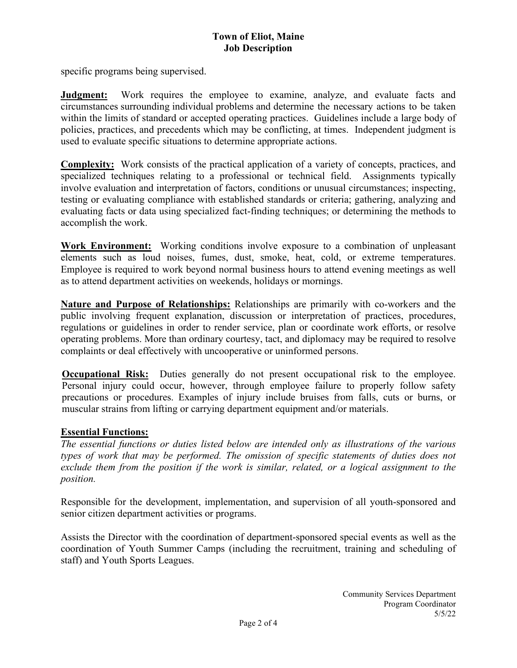specific programs being supervised.

**Judgment:** Work requires the employee to examine, analyze, and evaluate facts and circumstances surrounding individual problems and determine the necessary actions to be taken within the limits of standard or accepted operating practices. Guidelines include a large body of policies, practices, and precedents which may be conflicting, at times. Independent judgment is used to evaluate specific situations to determine appropriate actions.

**Complexity:** Work consists of the practical application of a variety of concepts, practices, and specialized techniques relating to a professional or technical field. Assignments typically involve evaluation and interpretation of factors, conditions or unusual circumstances; inspecting, testing or evaluating compliance with established standards or criteria; gathering, analyzing and evaluating facts or data using specialized fact-finding techniques; or determining the methods to accomplish the work.

**Work Environment:** Working conditions involve exposure to a combination of unpleasant elements such as loud noises, fumes, dust, smoke, heat, cold, or extreme temperatures. Employee is required to work beyond normal business hours to attend evening meetings as well as to attend department activities on weekends, holidays or mornings.

**Nature and Purpose of Relationships:** Relationships are primarily with co-workers and the public involving frequent explanation, discussion or interpretation of practices, procedures, regulations or guidelines in order to render service, plan or coordinate work efforts, or resolve operating problems. More than ordinary courtesy, tact, and diplomacy may be required to resolve complaints or deal effectively with uncooperative or uninformed persons.

**Occupational Risk:** Duties generally do not present occupational risk to the employee. Personal injury could occur, however, through employee failure to properly follow safety precautions or procedures. Examples of injury include bruises from falls, cuts or burns, or muscular strains from lifting or carrying department equipment and/or materials.

## **Essential Functions:**

*The essential functions or duties listed below are intended only as illustrations of the various types of work that may be performed. The omission of specific statements of duties does not exclude them from the position if the work is similar, related, or a logical assignment to the position.* 

Responsible for the development, implementation, and supervision of all youth-sponsored and senior citizen department activities or programs.

Assists the Director with the coordination of department-sponsored special events as well as the coordination of Youth Summer Camps (including the recruitment, training and scheduling of staff) and Youth Sports Leagues.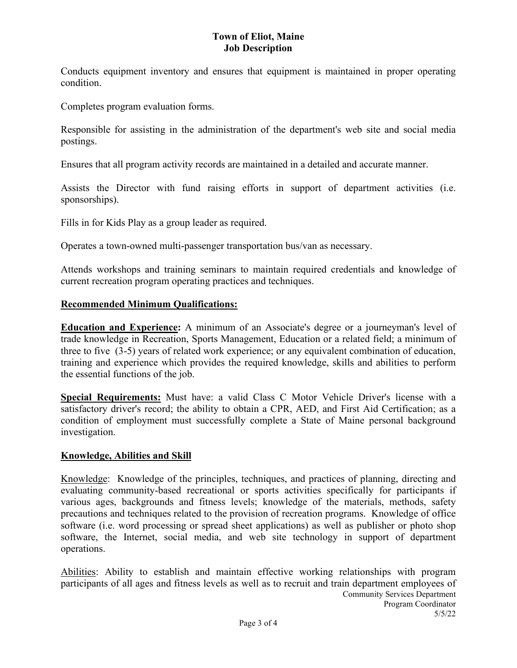Conducts equipment inventory and ensures that equipment is maintained in proper operating condition.

Completes program evaluation forms.

Responsible for assisting in the administration of the department's web site and social media postings.

Ensures that all program activity records are maintained in a detailed and accurate manner.

Assists the Director with fund raising efforts in support of department activities (i.e. sponsorships).

Fills in for Kids Play as a group leader as required.

Operates a town-owned multi-passenger transportation bus/van as necessary.

Attends workshops and training seminars to maintain required credentials and knowledge of current recreation program operating practices and techniques.

#### **Recommended Minimum Qualifications:**

**Education and Experience:** A minimum of an Associate's degree or a journeyman's level of trade knowledge in Recreation, Sports Management, Education or a related field; a minimum of three to five (3-5) years of related work experience; or any equivalent combination of education, training and experience which provides the required knowledge, skills and abilities to perform the essential functions of the job.

**Special Requirements:** Must have: a valid Class C Motor Vehicle Driver's license with a satisfactory driver's record; the ability to obtain a CPR, AED, and First Aid Certification; as a condition of employment must successfully complete a State of Maine personal background investigation.

#### **Knowledge, Abilities and Skill**

Knowledge: Knowledge of the principles, techniques, and practices of planning, directing and evaluating community-based recreational or sports activities specifically for participants if various ages, backgrounds and fitness levels; knowledge of the materials, methods, safety precautions and techniques related to the provision of recreation programs. Knowledge of office software (i.e. word processing or spread sheet applications) as well as publisher or photo shop software, the Internet, social media, and web site technology in support of department operations.

Community Services Department Program Coordinator 5/5/22 Abilities: Ability to establish and maintain effective working relationships with program participants of all ages and fitness levels as well as to recruit and train department employees of